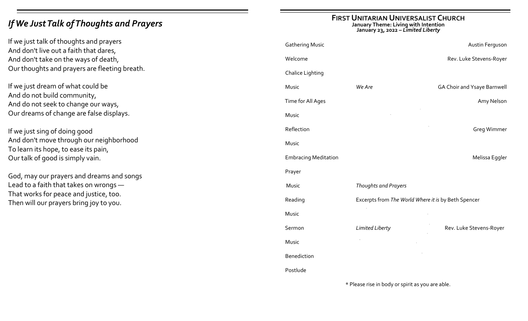# *If We Just Talk of Thoughts and Prayers*

If we just talk of thoughts and prayers And don't live out a faith that dares, And don't take on the ways of death, Our thoughts and prayers are fleeting breath.

If we just dream of what could be And do not build community, And do not seek to change our ways, Our dreams of change are false displays.

If we just sing of doing good And don't move through our neighborhood To learn its hope, to ease its pain, Our talk of good is simply vain.

God, may our prayers and dreams and songs Lead to a faith that takes on wrongs — That works for peace and justice, too. Then will our prayers bring joy to you.

## **FIRST UNITARIAN UNIVERSALIST CHURCH**

**January Theme: Living with Intention**

**January 23, 2022 –** *Limited Liberty*

| <b>Gathering Music</b>                           |                                                     | Austin Ferguson                    |  |  |
|--------------------------------------------------|-----------------------------------------------------|------------------------------------|--|--|
| Welcome                                          |                                                     | Rev. Luke Stevens-Royer            |  |  |
| <b>Chalice Lighting</b>                          |                                                     |                                    |  |  |
| Music                                            | We Are                                              | <b>GA Choir and Ysaye Barnwell</b> |  |  |
| Time for All Ages                                |                                                     | Amy Nelson                         |  |  |
| Music                                            |                                                     |                                    |  |  |
| Reflection                                       |                                                     | <b>Greg Wimmer</b>                 |  |  |
| Music                                            |                                                     |                                    |  |  |
| <b>Embracing Meditation</b>                      |                                                     | Melissa Eggler                     |  |  |
| Prayer                                           |                                                     |                                    |  |  |
| Music                                            | Thoughts and Prayers                                |                                    |  |  |
| Reading                                          | Excerpts from The World Where it is by Beth Spencer |                                    |  |  |
| Music                                            |                                                     |                                    |  |  |
| Sermon                                           | Limited Liberty                                     | Rev. Luke Stevens-Royer            |  |  |
| Music                                            |                                                     |                                    |  |  |
| <b>Benediction</b>                               |                                                     |                                    |  |  |
| Postlude                                         |                                                     |                                    |  |  |
| * Please rise in body or spirit as you are able. |                                                     |                                    |  |  |